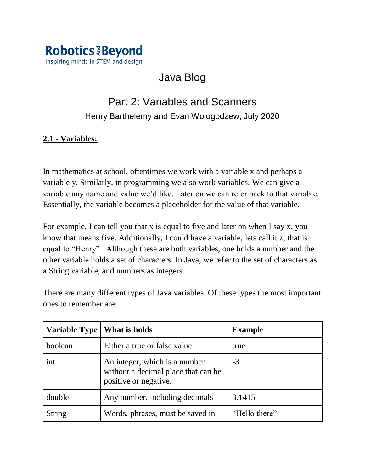

# Java Blog

## Part 2: Variables and Scanners Henry Barthelemy and Evan Wologodzew, July 2020

## **2.1 - Variables:**

In mathematics at school, oftentimes we work with a variable x and perhaps a variable y. Similarly, in programming we also work variables. We can give a variable any name and value we'd like. Later on we can refer back to that variable. Essentially, the variable becomes a placeholder for the value of that variable.

For example, I can tell you that x is equal to five and later on when I say x, you know that means five. Additionally, I could have a variable, lets call it z, that is equal to "Henry" . Although these are both variables, one holds a number and the other variable holds a set of characters. In Java, we refer to the set of characters as a String variable, and numbers as integers.

There are many different types of Java variables. Of these types the most important ones to remember are:

| Variable Type | What is holds                                                                                 | <b>Example</b> |
|---------------|-----------------------------------------------------------------------------------------------|----------------|
| boolean       | Either a true or false value                                                                  | true           |
| int           | An integer, which is a number<br>without a decimal place that can be<br>positive or negative. | $-3$           |
| double        | Any number, including decimals                                                                | 3.1415         |
| <b>String</b> | Words, phrases, must be saved in                                                              | "Hello there"  |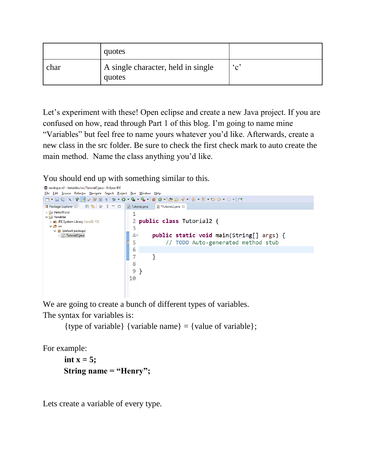|      | quotes                                       |              |
|------|----------------------------------------------|--------------|
| char | A single character, held in single<br>quotes | $\mathbf{c}$ |

Let's experiment with these! Open eclipse and create a new Java project. If you are confused on how, read through Part 1 of this blog. I'm going to name mine "Variables" but feel free to name yours whatever you'd like. Afterwards, create a new class in the src folder. Be sure to check the first check mark to auto create the main method. Name the class anything you'd like.

You should end up with something similar to this.

```
workspace2 - Variables/src/Tutorial2.java - Eclipse IDE
Eile Edit Source Refactor Navigate Search Project Run Window Help
# Package Explorer ☆ ■ $ | ● 8 = 日 D Tutorial.java D *Tutorial2.java ☆
> a HelloWorld
                                           \mathbf{1}\vee \stackrel{\sim}{\Longrightarrow} Variables
                                            2 public class Tutorial2 {
   > M JRE System Library [JavaSE-13]
  \vee \overline{B} src
                                            \overline{3}\vee \overline{\mathbf{H}} (default package)
                                           4<sup>°</sup>public static void main(String[] args) {
      \frac{1}{2} Tutorial2.java
                                           5
                                                           // TODO Auto-generated method stub
                                           6<sup>1</sup>\overline{7}₹.
                                           8
                                          9}
                                          10
```
We are going to create a bunch of different types of variables. The syntax for variables is:

```
{type of variable} {variable name} = {value of variable};
```
For example:

```
int x = 5;
 String name = "Henry";
```
Lets create a variable of every type.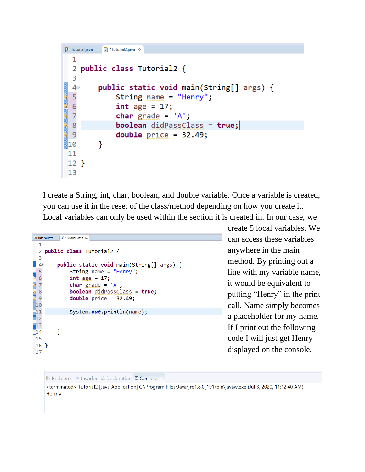```
\boxed{J} Tutorial.java
           J *Tutorial2.java 23
  \mathbf{1}2 public class Tutorial2 {
  3
  4⊜
          public static void main(String[] args) {
  5
               String name = "Henry";
  \overline{6}int age = 17;\overline{7}char grade = 'A;
  8
               boolean didPassClass = true;\overline{9}double price = 32.49;
          Y
10
11
12}
13
```
I create a String, int, char, boolean, and double variable. Once a variable is created, you can use it in the reset of the class/method depending on how you create it. Local variables can only be used within the section it is created in. In our case, we

```
\boxed{)} Tutorial.java \boxed{)} *Tutorial2.java \boxtimes1
  2 public class Tutorial2 {
  \overline{3}4°public static void main(String[] args) {
  5
                String name = "Henry";
  6
                int age = 17;\begin{array}{c} 7 \\ 8 \end{array}char grade = 'A;
ī
                boolean didPassClass = true;
  \overline{9}double price = 32.49;
 10
 |11\rangleSystem.out.println(name);
 |1213
14}
 15
 16}
 17
```
create 5 local variables. We can access these variables anywhere in the main method. By printing out a line with my variable name, it would be equivalent to putting "Henry" in the print call. Name simply becomes a placeholder for my name. If I print out the following code I will just get Henry displayed on the console.

```
R Problems @ Javadoc B Declaration D Console &
```
<terminated> Tutorial2 [Java Application] C:\Program Files\Java\jre1.8.0\_191\bin\javaw.exe (Jul 3, 2020, 11:12:40 AM) Henry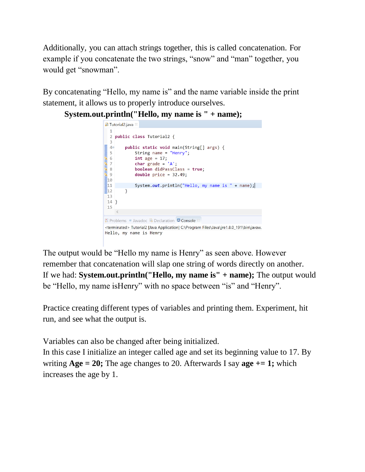Additionally, you can attach strings together, this is called concatenation. For example if you concatenate the two strings, "snow" and "man" together, you would get "snowman".

By concatenating "Hello, my name is" and the name variable inside the print statement, it allows us to properly introduce ourselves.

**System.out.println("Hello, my name is " + name);**



The output would be "Hello my name is Henry" as seen above. However remember that concatenation will slap one string of words directly on another. If we had: **System.out.println("Hello, my name is" + name);** The output would be "Hello, my name isHenry" with no space between "is" and "Henry".

Practice creating different types of variables and printing them. Experiment, hit run, and see what the output is.

Variables can also be changed after being initialized.

In this case I initialize an integer called age and set its beginning value to 17. By writing **Age = 20;** The age changes to 20. Afterwards I say **age += 1;** which increases the age by 1.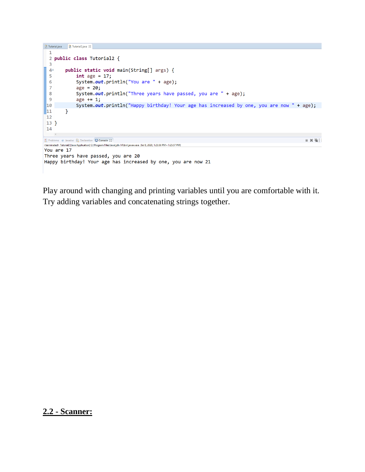```
\boxed{0} Tutorial.java \boxed{0} Tutorial2.java \%\mathbf{1}2 public class Tutorial2 {
  \overline{3}public static void main(String[] args) {
  4\circ5<sup>1</sup>int age = 17;System.out.println("You are " + age);
  6\overline{6}\overline{7}age = 20;8
                System.out.println("Three years have passed, you are " + age);
  \overline{9}age += 1;10
                System.out.println("Happy birthday! Your age has increased by one, you are now " + age);
\sqrt{11}\mathcal{F}1213}
 14
Problems @ Javadoc Q Declaration Q Console &
                                                                                                                                     \mathbb{R} \times \mathbb{Z}<terminated> Tutorial2 [Java Application] C:\Program Files\Java\jdk-14\bin\javaw.exe (Jul 8, 2020, 1:25:56 PM - 1:25:57 PM)
You are 17
Three years have passed, you are 20
Happy birthday! Your age has increased by one, you are now 21
```
Play around with changing and printing variables until you are comfortable with it. Try adding variables and concatenating strings together.

### **2.2 - Scanner:**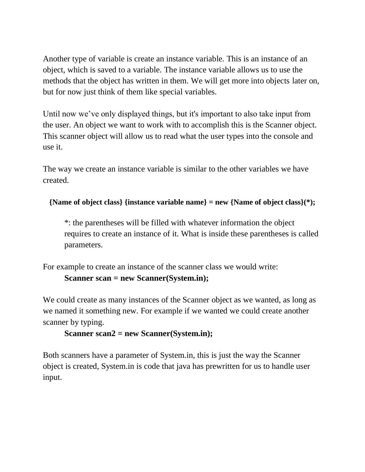Another type of variable is create an instance variable. This is an instance of an object, which is saved to a variable. The instance variable allows us to use the methods that the object has written in them. We will get more into objects later on, but for now just think of them like special variables.

Until now we've only displayed things, but it's important to also take input from the user. An object we want to work with to accomplish this is the Scanner object. This scanner object will allow us to read what the user types into the console and use it.

The way we create an instance variable is similar to the other variables we have created.

**{Name of object class} {instance variable name} = new {Name of object class}(\*);**

\*: the parentheses will be filled with whatever information the object requires to create an instance of it. What is inside these parentheses is called parameters.

For example to create an instance of the scanner class we would write: **Scanner scan = new Scanner(System.in);**

We could create as many instances of the Scanner object as we wanted, as long as we named it something new. For example if we wanted we could create another scanner by typing.

### **Scanner scan2 = new Scanner(System.in);**

Both scanners have a parameter of System.in, this is just the way the Scanner object is created, System.in is code that java has prewritten for us to handle user input.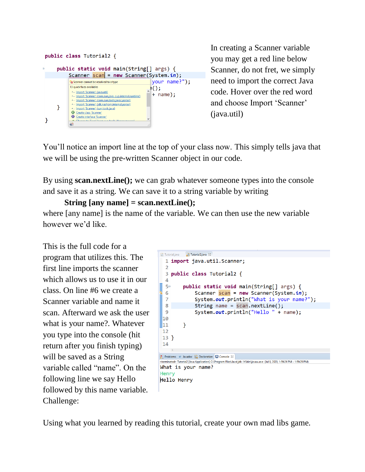

In creating a Scanner variable you may get a red line below Scanner, do not fret, we simply need to import the correct Java code. Hover over the red word and choose Import 'Scanner' (java.util)

You'll notice an import line at the top of your class now. This simply tells java that we will be using the pre-written Scanner object in our code.

By using **scan.nextLine();** we can grab whatever someone types into the console and save it as a string. We can save it to a string variable by writing

```
String [any name] = scan.nextLine();
where [any name] is the name of the variable. We can then use the new variable 
however we'd like.
```
This is the full code for a program that utilizes this. The first line imports the scanner which allows us to use it in our class. On line #6 we create a Scanner variable and name it scan. Afterward we ask the user what is your name?. Whatever you type into the console (hit return after you finish typing) will be saved as a String variable called "name". On the following line we say Hello followed by this name variable. Challenge:

```
1 Tutorial.java 1 Tutorial2.java 23
  1 import java.util.Scanner;
  \overline{2}3 public class Tutorial2 {
  \overline{4}5<sup>°</sup>public static void main(String[] args) {
                 Scanner scan = new Scanner(System.in);6
  \overline{7}System.out.println("What is your name?");
  8<sup>1</sup>String name = scan.nextLine();
 \overline{9}System.out.println("Hello " + name);
 10
11\mathcal{Y}1213}
 14
Problems @ Javadoc Q Declaration Q Console \otimes<terminated> Tutorial2 [Java Application] C:\Program Files\Java\jdk-14\bin\javaw.exe (Jul 8, 2020, 1:59:24 PM – 1:59:29 PM)
What is your name?
Henry
Hello Henry
```
Using what you learned by reading this tutorial, create your own mad libs game.